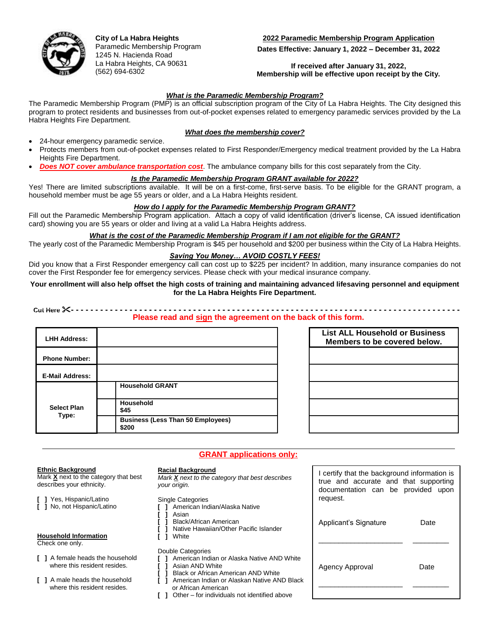

**City of La Habra Heights** Paramedic Membership Program 1245 N. Hacienda Road La Habra Heights, CA 90631 (562) 694-6302

## **2022 Paramedic Membership Program Application**

**Dates Effective: January 1, 2022 – December 31, 2022**

#### **If received after January 31, 2022, Membership will be effective upon receipt by the City.**

#### *What is the Paramedic Membership Program?*

The Paramedic Membership Program (PMP) is an official subscription program of the City of La Habra Heights. The City designed this program to protect residents and businesses from out-of-pocket expenses related to emergency paramedic services provided by the La Habra Heights Fire Department.

## *What does the membership cover?*

- 24-hour emergency paramedic service.
- Protects members from out-of-pocket expenses related to First Responder/Emergency medical treatment provided by the La Habra Heights Fire Department.
- *Does NOT cover ambulance transportation cost*. The ambulance company bills for this cost separately from the City.

#### *Is the Paramedic Membership Program GRANT available for 2022?*

Yes! There are limited subscriptions available. It will be on a first-come, first-serve basis. To be eligible for the GRANT program, a household member must be age 55 years or older, and a La Habra Heights resident.

#### *How do I apply for the Paramedic Membership Program GRANT?*

Fill out the Paramedic Membership Program application. Attach a copy of valid identification (driver's license, CA issued identification card) showing you are 55 years or older and living at a valid La Habra Heights address.

#### *What is the cost of the Paramedic Membership Program if I am not eligible for the GRANT?*

The yearly cost of the Paramedic Membership Program is \$45 per household and \$200 per business within the City of La Habra Heights.

#### *Saving You Money… AVOID COSTLY FEES!*

Did you know that a First Responder emergency call can cost up to \$225 per incident? In addition, many insurance companies do not cover the First Responder fee for emergency services. Please check with your medical insurance company.

#### **Your enrollment will also help offset the high costs of training and maintaining advanced lifesaving personnel and equipment for the La Habra Heights Fire Department.**

 **Cut Here - - - - - - - - - - - - - - - - - - - - - - - - - - - - - - - - - - - - - - - - - - - - - - - - - - - - - - - - - - - - - - - - - - - - - - - - - - - - - - - -**

#### **Please read and sign the agreement on the back of this form.**

**GRANT applications only:**

| <b>LHH Address:</b>         |                                                   |
|-----------------------------|---------------------------------------------------|
| <b>Phone Number:</b>        |                                                   |
| <b>E-Mail Address:</b>      |                                                   |
| <b>Select Plan</b><br>Type: | <b>Household GRANT</b>                            |
|                             | Household<br>\$45                                 |
|                             | <b>Business (Less Than 50 Employees)</b><br>\$200 |

| <b>List ALL Household or Business</b><br>Members to be covered below. |  |
|-----------------------------------------------------------------------|--|
|                                                                       |  |
|                                                                       |  |
|                                                                       |  |
|                                                                       |  |
|                                                                       |  |

#### **Ethnic Background**

Mark **X** next to the category that best describes your ethnicity.

**[ ]** Yes, Hispanic/Latino **[ ]** No, not Hispanic/Latino

# **Household Information**

Check one only.

- **[ ]** A female heads the household where this resident resides.
- **[ ]** A male heads the household where this resident resides.

#### **Racial Background**

*Mark X next to the category that best describes your origin.*

Single Categories

- **[ ]** American Indian/Alaska Native
- **[ ]** Asian
- **[ ]** Black/African American
- **[ ]** Native Hawaiian/Other Pacific Islander **[ ]** White

# Double Categories

- **[ ]** American Indian or Alaska Native AND White
- **[ ]** Asian AND White
	- **[ ]** Black or African American AND White
- **[ ]** American Indian or Alaskan Native AND Black or African American
- **[ ]** Other for individuals not identified above

| I certify that the background information is<br>true and accurate and that supporting<br>documentation can be provided upon<br>request. |      |  |
|-----------------------------------------------------------------------------------------------------------------------------------------|------|--|
| Applicant's Signature                                                                                                                   | Date |  |
| Agency Approval                                                                                                                         | Date |  |